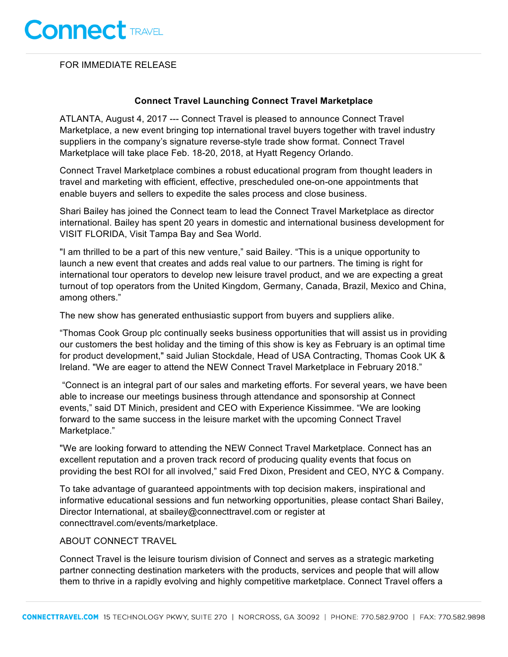FOR IMMEDIATE RELEASE

## **Connect Travel Launching Connect Travel Marketplace**

ATLANTA, August 4, 2017 --- Connect Travel is pleased to announce Connect Travel Marketplace, a new event bringing top international travel buyers together with travel industry suppliers in the company's signature reverse-style trade show format. Connect Travel Marketplace will take place Feb. 18-20, 2018, at Hyatt Regency Orlando.

Connect Travel Marketplace combines a robust educational program from thought leaders in travel and marketing with efficient, effective, prescheduled one-on-one appointments that enable buyers and sellers to expedite the sales process and close business.

Shari Bailey has joined the Connect team to lead the Connect Travel Marketplace as director international. Bailey has spent 20 years in domestic and international business development for VISIT FLORIDA, Visit Tampa Bay and Sea World.

"I am thrilled to be a part of this new venture," said Bailey. "This is a unique opportunity to launch a new event that creates and adds real value to our partners. The timing is right for international tour operators to develop new leisure travel product, and we are expecting a great turnout of top operators from the United Kingdom, Germany, Canada, Brazil, Mexico and China, among others."

The new show has generated enthusiastic support from buyers and suppliers alike.

"Thomas Cook Group plc continually seeks business opportunities that will assist us in providing our customers the best holiday and the timing of this show is key as February is an optimal time for product development," said Julian Stockdale, Head of USA Contracting, Thomas Cook UK & Ireland. "We are eager to attend the NEW Connect Travel Marketplace in February 2018."

"Connect is an integral part of our sales and marketing efforts. For several years, we have been able to increase our meetings business through attendance and sponsorship at Connect events," said DT Minich, president and CEO with Experience Kissimmee. "We are looking forward to the same success in the leisure market with the upcoming Connect Travel Marketplace."

"We are looking forward to attending the NEW Connect Travel Marketplace. Connect has an excellent reputation and a proven track record of producing quality events that focus on providing the best ROI for all involved," said Fred Dixon, President and CEO, NYC & Company.

To take advantage of guaranteed appointments with top decision makers, inspirational and informative educational sessions and fun networking opportunities, please contact Shari Bailey, Director International, at sbailey@connecttravel.com or register at connecttravel.com/events/marketplace.

## ABOUT CONNECT TRAVEL

Connect Travel is the leisure tourism division of Connect and serves as a strategic marketing partner connecting destination marketers with the products, services and people that will allow them to thrive in a rapidly evolving and highly competitive marketplace. Connect Travel offers a